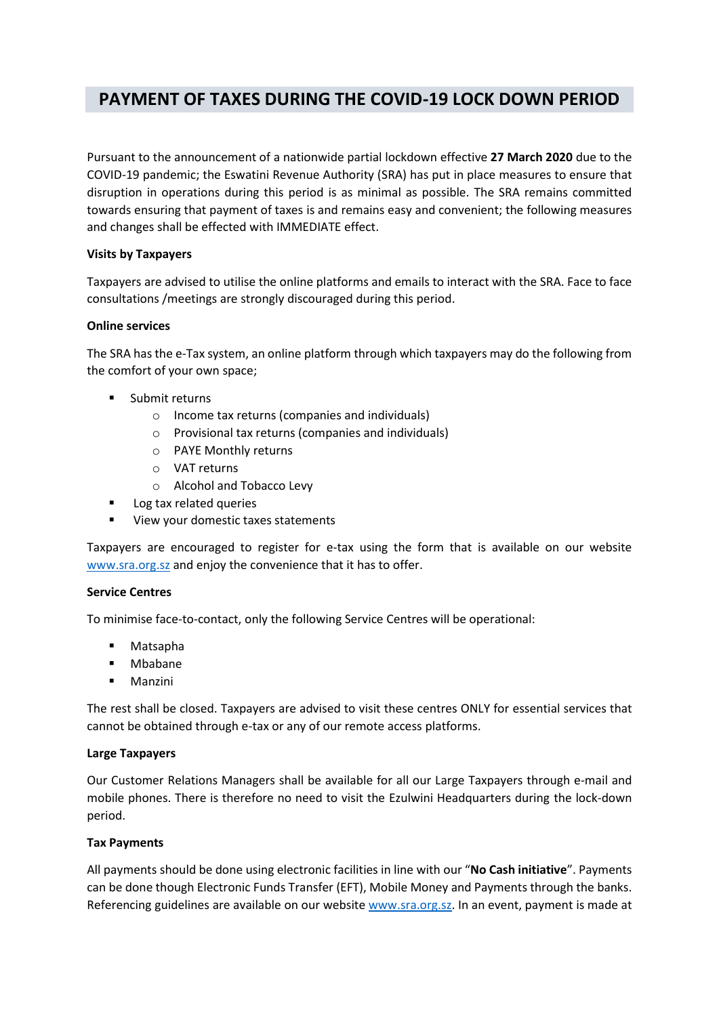# **PAYMENT OF TAXES DURING THE COVID-19 LOCK DOWN PERIOD**

Pursuant to the announcement of a nationwide partial lockdown effective **27 March 2020** due to the COVID-19 pandemic; the Eswatini Revenue Authority (SRA) has put in place measures to ensure that disruption in operations during this period is as minimal as possible. The SRA remains committed towards ensuring that payment of taxes is and remains easy and convenient; the following measures and changes shall be effected with IMMEDIATE effect.

# **Visits by Taxpayers**

Taxpayers are advised to utilise the online platforms and emails to interact with the SRA. Face to face consultations /meetings are strongly discouraged during this period.

# **Online services**

The SRA has the e-Tax system, an online platform through which taxpayers may do the following from the comfort of your own space;

- **Submit returns** 
	- o Income tax returns (companies and individuals)
	- o Provisional tax returns (companies and individuals)
	- o PAYE Monthly returns
	- o VAT returns
	- o Alcohol and Tobacco Levy
- **Log tax related queries**
- View your domestic taxes statements

Taxpayers are encouraged to register for e-tax using the form that is available on our website [www.sra.org.sz](http://www.sra.org.sz/) and enjoy the convenience that it has to offer.

#### **Service Centres**

To minimise face-to-contact, only the following Service Centres will be operational:

- Matsapha
- **■** Mbabane
- Manzini

The rest shall be closed. Taxpayers are advised to visit these centres ONLY for essential services that cannot be obtained through e-tax or any of our remote access platforms.

#### **Large Taxpayers**

Our Customer Relations Managers shall be available for all our Large Taxpayers through e-mail and mobile phones. There is therefore no need to visit the Ezulwini Headquarters during the lock-down period.

#### **Tax Payments**

All payments should be done using electronic facilities in line with our "**No Cash initiative**". Payments can be done though Electronic Funds Transfer (EFT), Mobile Money and Payments through the banks. Referencing guidelines are available on our website [www.sra.org.sz.](http://www.sra.org.sz/) In an event, payment is made at